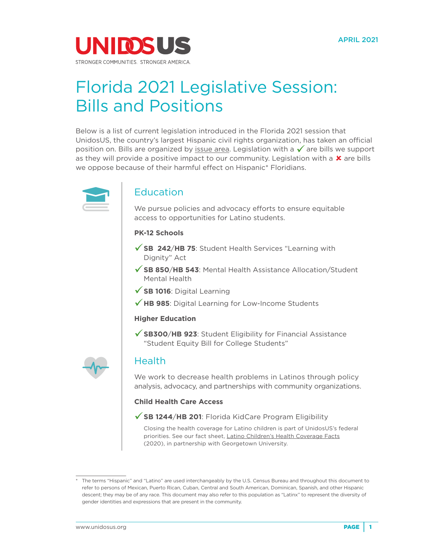

# Florida 2021 Legislative Session: Bills and Positions

Below is a list of current legislation introduced in the Florida 2021 session that UnidosUS, the country's largest Hispanic civil rights organization, has taken an official position on. Bills are organized by [issue area](https://www.unidosus.org/issues/). Legislation with a  $\checkmark$  are bills we support as they will provide a positive impact to our community. Legislation with a  $\boldsymbol{\mathsf{x}}$  are bills we oppose because of their harmful effect on Hispanic\* Floridians.



## Education

We pursue policies and advocacy efforts to ensure equitable access to opportunities for Latino students.

## **PK-12 Schools**

- **[SB 242](https://www.flsenate.gov/Session/Bill/2021/242)**/**HB 75**: Student Health Services "Learning with Dignity" Act
- **[SB 850](https://www.flsenate.gov/Session/Bill/2021/850)**/**HB 543**: Mental Health Assistance Allocation/Student Mental Health
- **[SB 1016](https://www.flsenate.gov/Session/Bill/2021/1016)**: Digital Learning
- ◆ [HB 985](https://www.flsenate.gov/Session/Bill/2021/985): Digital Learning for Low-Income Students

#### **Higher Education**

**[SB300](https://www.flsenate.gov/Session/Bill/2021/300)**/**HB 923**: Student Eligibility for Financial Assistance "Student Equity Bill for College Students"



## Health

We work to decrease health problems in Latinos through policy analysis, advocacy, and partnerships with community organizations.

## **Child Health Care Access**

## **[SB 1244](https://www.flsenate.gov/Session/Bill/2021/1244)**/**HB 201**: Florida KidCare Program Eligibility

Closing the health coverage for Latino children is part of UnidosUS's federal priorities. See our fact sheet, [Latino Children's Health Coverage Facts](http://publications.unidosus.org/bitstream/handle/123456789/2069/unidosus_georgetowncenter_florida_latinokidshealth.pdf?sequence=1&isAllowed=y) (2020), in partnership with Georgetown University.

<sup>\*</sup> The terms "Hispanic" and "Latino" are used interchangeably by the U.S. Census Bureau and throughout this document to refer to persons of Mexican, Puerto Rican, Cuban, Central and South American, Dominican, Spanish, and other Hispanic descent; they may be of any race. This document may also refer to this population as "Latinx" to represent the diversity of gender identities and expressions that are present in the community.